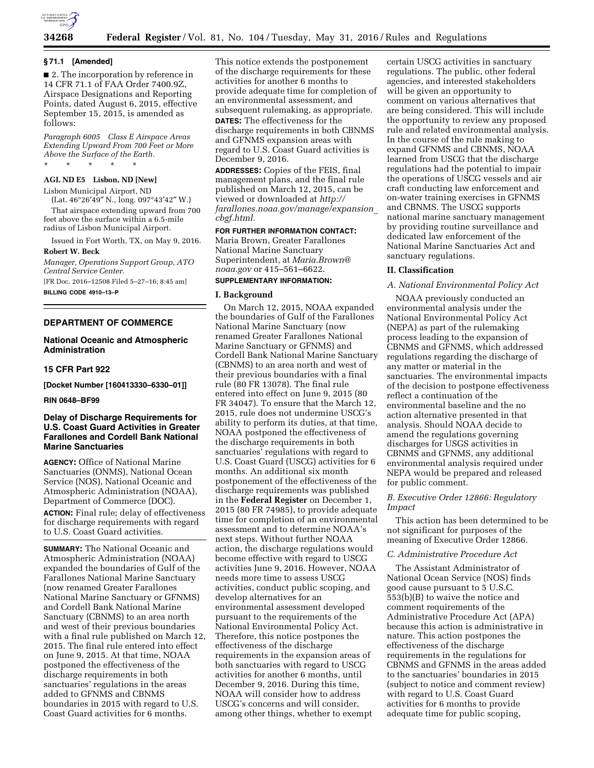

## **34268 Federal Register** / Vol. 81, No. 104 / Tuesday, May 31, 2016 / Rules and Regulations

#### **§ 71.1 [Amended]**

■ 2. The incorporation by reference in 14 CFR 71.1 of FAA Order 7400.9Z, Airspace Designations and Reporting Points, dated August 6, 2015, effective September 15, 2015, is amended as follows:

*Paragraph 6005 Class E Airspace Areas Extending Upward From 700 Feet or More Above the Surface of the Earth.*  \* \* \* \* \*

## **AGL ND E5 Lisbon, ND [New]**

Lisbon Municipal Airport, ND

(Lat. 46°26′49″ N., long. 097°43′42″ W.) That airspace extending upward from 700 feet above the surface within a 6.5-mile radius of Lisbon Municipal Airport.

Issued in Fort Worth, TX, on May 9, 2016. **Robert W. Beck** 

*Manager, Operations Support Group, ATO Central Service Center.* 

[FR Doc. 2016–12508 Filed 5–27–16; 8:45 am] **BILLING CODE 4910–13–P** 

#### **DEPARTMENT OF COMMERCE**

## **National Oceanic and Atmospheric Administration**

### **15 CFR Part 922**

**[Docket Number [160413330–6330–01]]** 

#### **RIN 0648–BF99**

## **Delay of Discharge Requirements for U.S. Coast Guard Activities in Greater Farallones and Cordell Bank National Marine Sanctuaries**

**AGENCY:** Office of National Marine Sanctuaries (ONMS), National Ocean Service (NOS), National Oceanic and Atmospheric Administration (NOAA), Department of Commerce (DOC). **ACTION:** Final rule; delay of effectiveness for discharge requirements with regard to U.S. Coast Guard activities.

**SUMMARY:** The National Oceanic and Atmospheric Administration (NOAA) expanded the boundaries of Gulf of the Farallones National Marine Sanctuary (now renamed Greater Farallones National Marine Sanctuary or GFNMS) and Cordell Bank National Marine Sanctuary (CBNMS) to an area north and west of their previous boundaries with a final rule published on March 12, 2015. The final rule entered into effect on June 9, 2015. At that time, NOAA postponed the effectiveness of the discharge requirements in both sanctuaries' regulations in the areas added to GFNMS and CBNMS boundaries in 2015 with regard to U.S. Coast Guard activities for 6 months.

This notice extends the postponement of the discharge requirements for these activities for another 6 months to provide adequate time for completion of an environmental assessment, and subsequent rulemaking, as appropriate. **DATES:** The effectiveness for the discharge requirements in both CBNMS and GFNMS expansion areas with regard to U.S. Coast Guard activities is December 9, 2016.

**ADDRESSES:** Copies of the FEIS, final management plans, and the final rule published on March 12, 2015, can be viewed or downloaded at *[http://](http://farallones.noaa.gov/manage/expansion_cbgf.html) [farallones.noaa.gov/manage/expansion](http://farallones.noaa.gov/manage/expansion_cbgf.html)*\_ *[cbgf.html.](http://farallones.noaa.gov/manage/expansion_cbgf.html)* 

## **FOR FURTHER INFORMATION CONTACT:**

Maria Brown, Greater Farallones National Marine Sanctuary Superintendent, at *[Maria.Brown@](mailto:Maria.Brown@noaa.gov) [noaa.gov](mailto:Maria.Brown@noaa.gov)* or 415–561–6622.

# **SUPPLEMENTARY INFORMATION:**

#### **I. Background**

On March 12, 2015, NOAA expanded the boundaries of Gulf of the Farallones National Marine Sanctuary (now renamed Greater Farallones National Marine Sanctuary or GFNMS) and Cordell Bank National Marine Sanctuary (CBNMS) to an area north and west of their previous boundaries with a final rule (80 FR 13078). The final rule entered into effect on June 9, 2015 (80 FR 34047). To ensure that the March 12, 2015, rule does not undermine USCG's ability to perform its duties, at that time, NOAA postponed the effectiveness of the discharge requirements in both sanctuaries' regulations with regard to U.S. Coast Guard (USCG) activities for 6 months. An additional six month postponement of the effectiveness of the discharge requirements was published in the **Federal Register** on December 1, 2015 (80 FR 74985), to provide adequate time for completion of an environmental assessment and to determine NOAA's next steps. Without further NOAA action, the discharge regulations would become effective with regard to USCG activities June 9, 2016. However, NOAA needs more time to assess USCG activities, conduct public scoping, and develop alternatives for an environmental assessment developed pursuant to the requirements of the National Environmental Policy Act. Therefore, this notice postpones the effectiveness of the discharge requirements in the expansion areas of both sanctuaries with regard to USCG activities for another 6 months, until December 9, 2016. During this time, NOAA will consider how to address USCG's concerns and will consider, among other things, whether to exempt

certain USCG activities in sanctuary regulations. The public, other federal agencies, and interested stakeholders will be given an opportunity to comment on various alternatives that are being considered. This will include the opportunity to review any proposed rule and related environmental analysis. In the course of the rule making to expand GFNMS and CBNMS, NOAA learned from USCG that the discharge regulations had the potential to impair the operations of USCG vessels and air craft conducting law enforcement and on-water training exercises in GFNMS and CBNMS. The USCG supports national marine sanctuary management by providing routine surveillance and dedicated law enforcement of the National Marine Sanctuaries Act and sanctuary regulations.

#### **II. Classification**

#### *A. National Environmental Policy Act*

NOAA previously conducted an environmental analysis under the National Environmental Policy Act (NEPA) as part of the rulemaking process leading to the expansion of CBNMS and GFNMS, which addressed regulations regarding the discharge of any matter or material in the sanctuaries. The environmental impacts of the decision to postpone effectiveness reflect a continuation of the environmental baseline and the no action alternative presented in that analysis. Should NOAA decide to amend the regulations governing discharges for USGS activities in CBNMS and GFNMS, any additional environmental analysis required under NEPA would be prepared and released for public comment.

#### *B. Executive Order 12866: Regulatory Impact*

This action has been determined to be not significant for purposes of the meaning of Executive Order 12866.

#### *C. Administrative Procedure Act*

The Assistant Administrator of National Ocean Service (NOS) finds good cause pursuant to 5 U.S.C. 553(b)(B) to waive the notice and comment requirements of the Administrative Procedure Act (APA) because this action is administrative in nature. This action postpones the effectiveness of the discharge requirements in the regulations for CBNMS and GFNMS in the areas added to the sanctuaries' boundaries in 2015 (subject to notice and comment review) with regard to U.S. Coast Guard activities for 6 months to provide adequate time for public scoping,